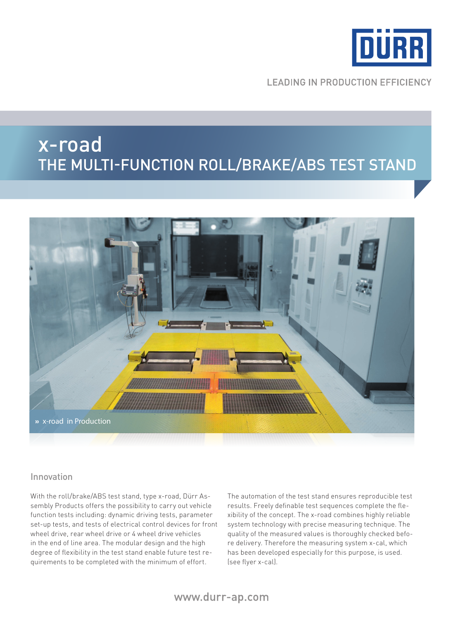

**LEADING IN PRODUCTION EFFICIENCY** 

## x-road THE MULTI-FUNCTION ROLL/BRAKE/ABS TEST STAND



#### Innovation

With the roll/brake/ABS test stand, type x-road, Dürr Assembly Products offers the possibility to carry out vehicle function tests including: dynamic driving tests, parameter set-up tests, and tests of electrical control devices for front wheel drive, rear wheel drive or 4 wheel drive vehicles in the end of line area. The modular design and the high degree of flexibility in the test stand enable future test requirements to be completed with the minimum of effort.

The automation of the test stand ensures reproducible test results. Freely definable test sequences complete the flexibility of the concept. The x-road combines highly reliable system technology with precise measuring technique. The quality of the measured values is thoroughly checked before delivery. Therefore the measuring system x-cal, which has been developed especially for this purpose, is used. (see flyer x-cal).